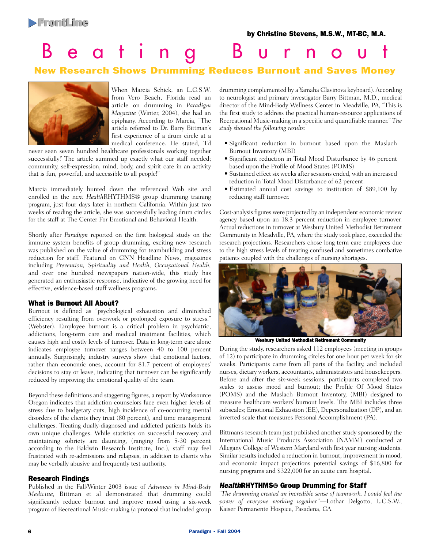### by Christine Stevens, M.S.W., MT-BC, M.A.

# On Track Beating Bur nout

# New Research Shows Drumming Reduces Burnout and Saves Money



When Marcia Schick, an L.C.S.W. from Vero Beach, Florida read an article on drumming in *Paradigm Magazine* (Winter, 2004), she had an epiphany. According to Marcia, "The article referred to Dr. Barry Bittman's first experience of a drum circle at a medical conference. He stated, 'I'd

never seen seven hundred healthcare professionals working together successfully!' The article summed up exactly what our staff needed; community, self-expression, mind, body, and spirit care in an activity that is fun, powerful, and accessible to all people!"

Marcia immediately hunted down the referenced Web site and enrolled in the next *Health*RHYTHMS® group drumming training program, just four days later in northern California. Within just two weeks of reading the article, she was successfully leading drum circles for the staff at The Center For Emotional and Behavioral Health.

Shortly after *Paradigm* reported on the first biological study on the immune system benefits of group drumming, exciting new research was published on the value of drumming for teambuilding and stress reduction for staff. Featured on CNN Headline News, magazines including *Prevention, Spirituality and Health, Occupational Health,* and over one hundred newspapers nation-wide, this study has generated an enthusiastic response, indicative of the growing need for effective, evidence-based staff wellness programs.

# What is Burnout All About?

Burnout is defined as "psychological exhaustion and diminished efficiency resulting from overwork or prolonged exposure to stress." (Webster). Employee burnout is a critical problem in psychiatric, addictions, long-term care and medical treatment facilities, which causes high and costly levels of turnover. Data in long-term care alone indicates employee turnover ranges between 40 to 100 percent annually. Surprisingly, industry surveys show that emotional factors, rather than economic ones, account for 81.7 percent of employees' decisions to stay or leave, indicating that turnover can be significantly reduced by improving the emotional quality of the team.

Beyond these definitions and staggering figures, a report by Worksource Oregon indicates that addiction counselors face even higher levels of stress due to budgetary cuts, high incidence of co-occurring mental disorders of the clients they treat (80 percent), and time management challenges. Treating dually-diagnosed and addicted patients holds its own unique challenges. While statistics on successful recovery and maintaining sobriety are daunting, (ranging from 5-30 percent according to the Baldwin Research Institute, Inc.), staff may feel frustrated with re-admissions and relapses, in addition to clients who may be verbally abusive and frequently test authority.

# Research Findings

Published in the Fall/Winter 2003 issue of *Advances in Mind-Body Medicine,* Bittman et al demonstrated that drumming could significantly reduce burnout and improve mood using a six-week program of Recreational Music-making (a protocol that included group drumming complemented by a Yamaha Clavinova keyboard). According to neurologist and primary investigator Barry Bittman, M.D., medical director of the Mind-Body Wellness Center in Meadville, PA, "This is the first study to address the practical human-resource applications of Recreational Music-making in a specific and quantifiable manner." *The study showed the following results:*

- Significant reduction in burnout based upon the Maslach Burnout Inventory (MBI)
- Significant reduction in Total Mood Disturbance by 46 percent based upon the Profile of Mood States (POMS)
- Sustained effect six weeks after sessions ended, with an increased reduction in Total Mood Disturbance of 62 percent.
- Estimated annual cost savings to institution of \$89,100 by reducing staff turnover.

Cost-analysis figures were projected by an independent economic review agency based upon an 18.3 percent reduction in employee turnover. Actual reductions in turnover at Wesbury United Methodist Retirement Community in Meadville, PA, where the study took place, exceeded the research projections. Researchers chose long term care employees due to the high stress levels of treating confused and sometimes combative patients coupled with the challenges of nursing shortages.



Wesbury United Methodist Retirement Community

During the study, researchers asked 112 employees (meeting in groups of 12) to participate in drumming circles for one hour per week for six weeks. Participants came from all parts of the facility, and included nurses, dietary workers, accountants, administrators and housekeepers. Before and after the six-week sessions, participants completed two scales to assess mood and burnout; the Profile Of Mood States (POMS) and the Maslach Burnout Inventory, (MBI) designed to measure healthcare workers' burnout levels. The MBI includes three subscales; Emotional Exhaustion (EE), Depersonalization (DP), and an inverted scale that measures Personal Accomplishment (PA).

Bittman's research team just published another study sponsored by the International Music Products Association (NAMM) conducted at Allegany College of Western Maryland with first year nursing students. Similar results included a reduction in burnout, improvement in mood, and economic impact projections potential savings of \$16,800 for nursing programs and \$322,000 for an acute care hospital.

# HealthRHYTHMS® Group Drumming for Staff

*"The drumming created an incredible sense of teamwork. I could feel the power of everyone working together."*—Lothar Delgotto, L.C.S.W., Kaiser Permanente Hospice, Pasadena, CA.